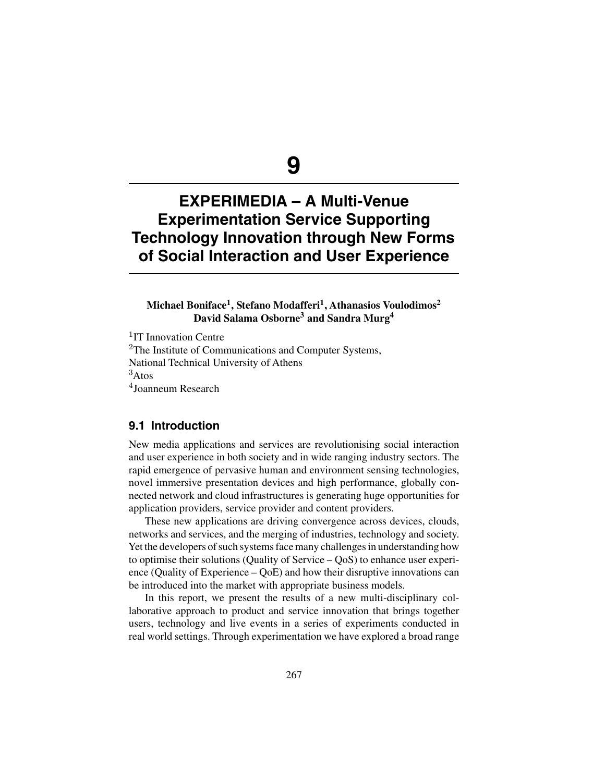# **9**

## **EXPERIMEDIA – A Multi-Venue Experimentation Service Supporting Technology Innovation through New Forms of Social Interaction and User Experience**

## **Michael Boniface1, Stefano Modafferi1, Athanasios Voulodimos2 David Salama Osborne3 and Sandra Murg4**

<sup>1</sup>IT Innovation Centre <sup>2</sup>The Institute of Communications and Computer Systems, National Technical University of Athens <sup>3</sup>Atos <sup>4</sup>Joanneum Research

## **9.1 Introduction**

New media applications and services are revolutionising social interaction and user experience in both society and in wide ranging industry sectors. The rapid emergence of pervasive human and environment sensing technologies, novel immersive presentation devices and high performance, globally connected network and cloud infrastructures is generating huge opportunities for application providers, service provider and content providers.

These new applications are driving convergence across devices, clouds, networks and services, and the merging of industries, technology and society. Yet the developers of such systems face many challenges in understanding how to optimise their solutions (Quality of Service – QoS) to enhance user experience (Quality of Experience – QoE) and how their disruptive innovations can be introduced into the market with appropriate business models.

In this report, we present the results of a new multi-disciplinary collaborative approach to product and service innovation that brings together users, technology and live events in a series of experiments conducted in real world settings. Through experimentation we have explored a broad range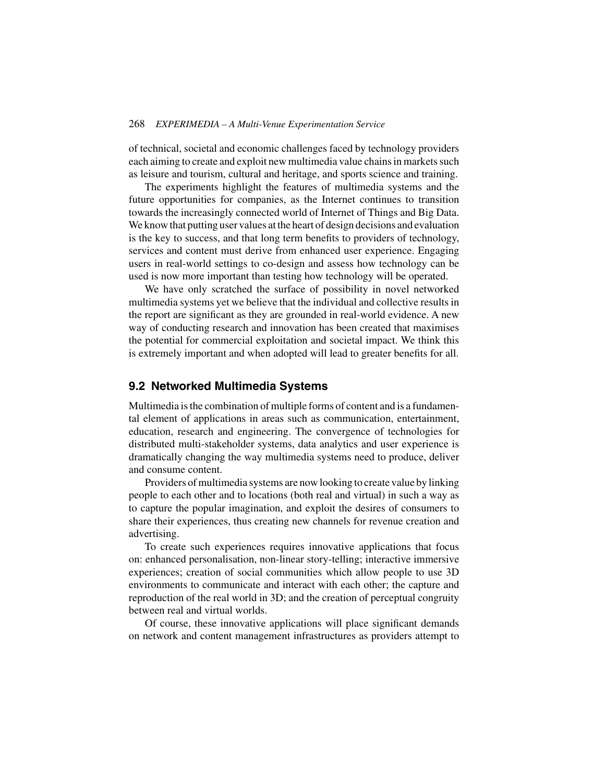of technical, societal and economic challenges faced by technology providers each aiming to create and exploit new multimedia value chains in markets such as leisure and tourism, cultural and heritage, and sports science and training.

The experiments highlight the features of multimedia systems and the future opportunities for companies, as the Internet continues to transition towards the increasingly connected world of Internet of Things and Big Data. We know that putting user values at the heart of design decisions and evaluation is the key to success, and that long term benefits to providers of technology, services and content must derive from enhanced user experience. Engaging users in real-world settings to co-design and assess how technology can be used is now more important than testing how technology will be operated.

We have only scratched the surface of possibility in novel networked multimedia systems yet we believe that the individual and collective results in the report are significant as they are grounded in real-world evidence. A new way of conducting research and innovation has been created that maximises the potential for commercial exploitation and societal impact. We think this is extremely important and when adopted will lead to greater benefits for all.

## **9.2 Networked Multimedia Systems**

Multimedia is the combination of multiple forms of content and is a fundamental element of applications in areas such as communication, entertainment, education, research and engineering. The convergence of technologies for distributed multi-stakeholder systems, data analytics and user experience is dramatically changing the way multimedia systems need to produce, deliver and consume content.

Providers of multimedia systems are now looking to create value by linking people to each other and to locations (both real and virtual) in such a way as to capture the popular imagination, and exploit the desires of consumers to share their experiences, thus creating new channels for revenue creation and advertising.

To create such experiences requires innovative applications that focus on: enhanced personalisation, non-linear story-telling; interactive immersive experiences; creation of social communities which allow people to use 3D environments to communicate and interact with each other; the capture and reproduction of the real world in 3D; and the creation of perceptual congruity between real and virtual worlds.

Of course, these innovative applications will place significant demands on network and content management infrastructures as providers attempt to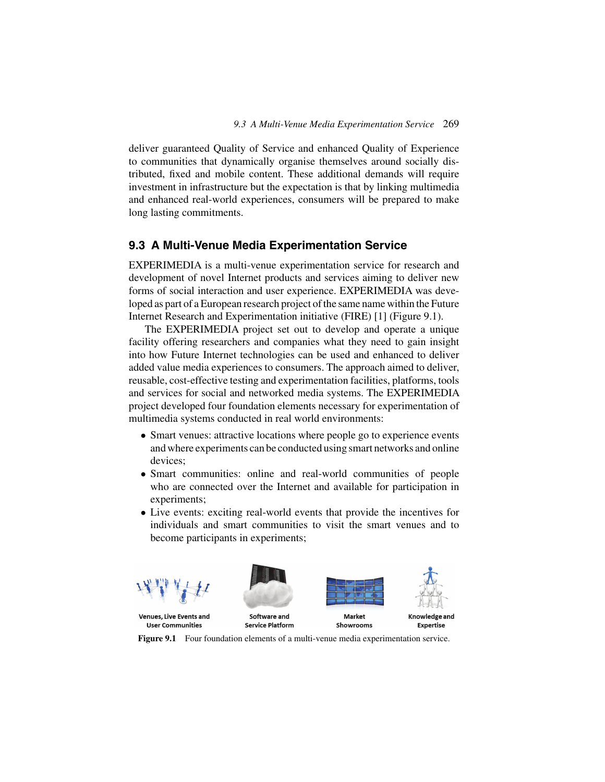deliver guaranteed Quality of Service and enhanced Quality of Experience to communities that dynamically organise themselves around socially distributed, fixed and mobile content. These additional demands will require investment in infrastructure but the expectation is that by linking multimedia and enhanced real-world experiences, consumers will be prepared to make long lasting commitments.

## **9.3 A Multi-Venue Media Experimentation Service**

EXPERIMEDIA is a multi-venue experimentation service for research and development of novel Internet products and services aiming to deliver new forms of social interaction and user experience. EXPERIMEDIA was developed as part of a European research project of the same name within the Future Internet Research and Experimentation initiative (FIRE) [1] (Figure 9.1).

The EXPERIMEDIA project set out to develop and operate a unique facility offering researchers and companies what they need to gain insight into how Future Internet technologies can be used and enhanced to deliver added value media experiences to consumers. The approach aimed to deliver, reusable, cost-effective testing and experimentation facilities, platforms, tools and services for social and networked media systems. The EXPERIMEDIA project developed four foundation elements necessary for experimentation of multimedia systems conducted in real world environments:

- Smart venues: attractive locations where people go to experience events and where experiments can be conducted using smart networks and online devices;
- Smart communities: online and real-world communities of people who are connected over the Internet and available for participation in experiments;
- Live events: exciting real-world events that provide the incentives for individuals and smart communities to visit the smart venues and to become participants in experiments;



**Figure 9.1** Four foundation elements of a multi-venue media experimentation service.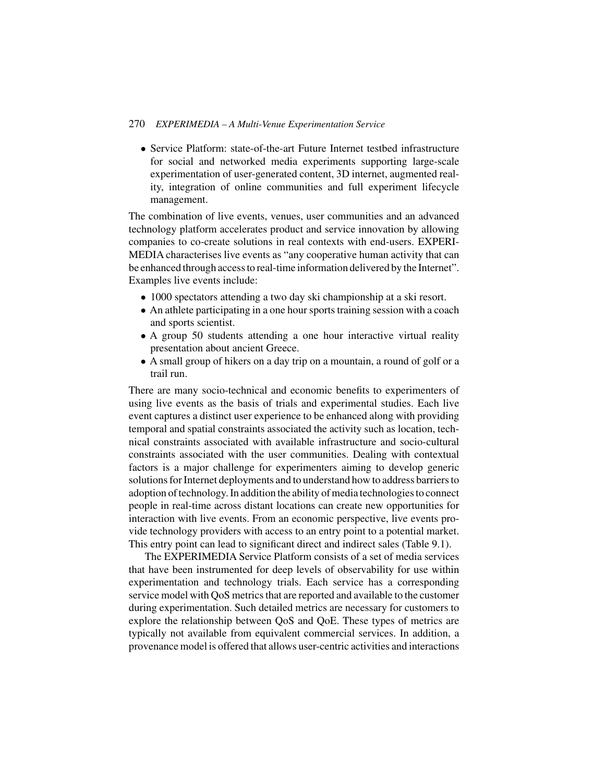• Service Platform: state-of-the-art Future Internet testbed infrastructure for social and networked media experiments supporting large-scale experimentation of user-generated content, 3D internet, augmented reality, integration of online communities and full experiment lifecycle management.

The combination of live events, venues, user communities and an advanced technology platform accelerates product and service innovation by allowing companies to co-create solutions in real contexts with end-users. EXPERI-MEDIA characterises live events as "any cooperative human activity that can be enhanced through access to real-time information delivered by the Internet". Examples live events include:

- 1000 spectators attending a two day ski championship at a ski resort.
- An athlete participating in a one hour sports training session with a coach and sports scientist.
- A group 50 students attending a one hour interactive virtual reality presentation about ancient Greece.
- A small group of hikers on a day trip on a mountain, a round of golf or a trail run.

There are many socio-technical and economic benefits to experimenters of using live events as the basis of trials and experimental studies. Each live event captures a distinct user experience to be enhanced along with providing temporal and spatial constraints associated the activity such as location, technical constraints associated with available infrastructure and socio-cultural constraints associated with the user communities. Dealing with contextual factors is a major challenge for experimenters aiming to develop generic solutions for Internet deployments and to understand how to address barriers to adoption of technology. In addition the ability of media technologies to connect people in real-time across distant locations can create new opportunities for interaction with live events. From an economic perspective, live events provide technology providers with access to an entry point to a potential market. This entry point can lead to significant direct and indirect sales (Table 9.1).

The EXPERIMEDIA Service Platform consists of a set of media services that have been instrumented for deep levels of observability for use within experimentation and technology trials. Each service has a corresponding service model with QoS metrics that are reported and available to the customer during experimentation. Such detailed metrics are necessary for customers to explore the relationship between QoS and QoE. These types of metrics are typically not available from equivalent commercial services. In addition, a provenance model is offered that allows user-centric activities and interactions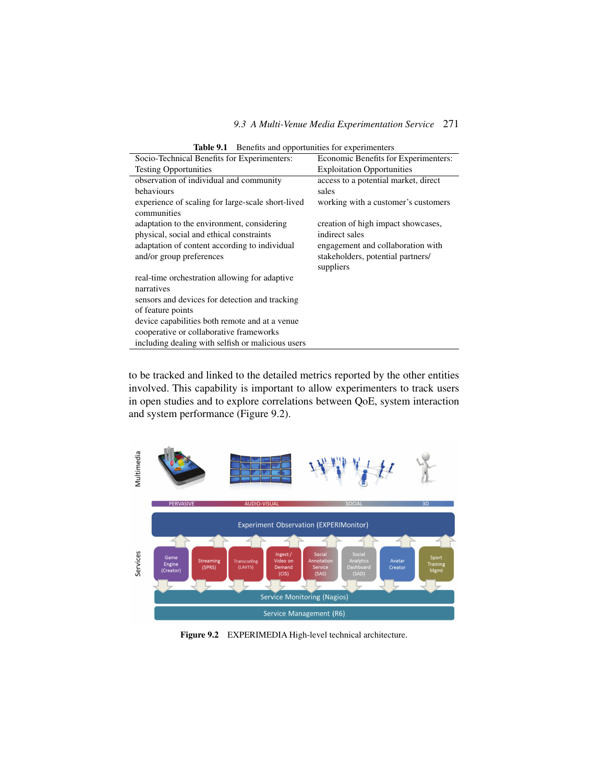| <b>rapic 2.1</b> Denemis and opportunities for experimenters |                                      |
|--------------------------------------------------------------|--------------------------------------|
| Socio-Technical Benefits for Experimenters:                  | Economic Benefits for Experimenters: |
| <b>Testing Opportunities</b>                                 | <b>Exploitation Opportunities</b>    |
| observation of individual and community                      | access to a potential market, direct |
| behaviours                                                   | sales                                |
| experience of scaling for large-scale short-lived            | working with a customer's customers  |
| communities                                                  |                                      |
| adaptation to the environment, considering                   | creation of high impact showcases,   |
| physical, social and ethical constraints                     | indirect sales                       |
| adaptation of content according to individual                | engagement and collaboration with    |
| and/or group preferences                                     | stakeholders, potential partners/    |
|                                                              | suppliers                            |
| real-time orchestration allowing for adaptive                |                                      |
| narratives                                                   |                                      |
| sensors and devices for detection and tracking               |                                      |
| of feature points                                            |                                      |
| device capabilities both remote and at a venue               |                                      |
| cooperative or collaborative frameworks                      |                                      |
| including dealing with selfish or malicious users            |                                      |

**Table 9.1** Benefits and opportunities for experimenters

to be tracked and linked to the detailed metrics reported by the other entities involved. This capability is important to allow experimenters to track users in open studies and to explore correlations between QoE, system interaction and system performance (Figure 9.2).



**Figure 9.2** EXPERIMEDIA High-level technical architecture.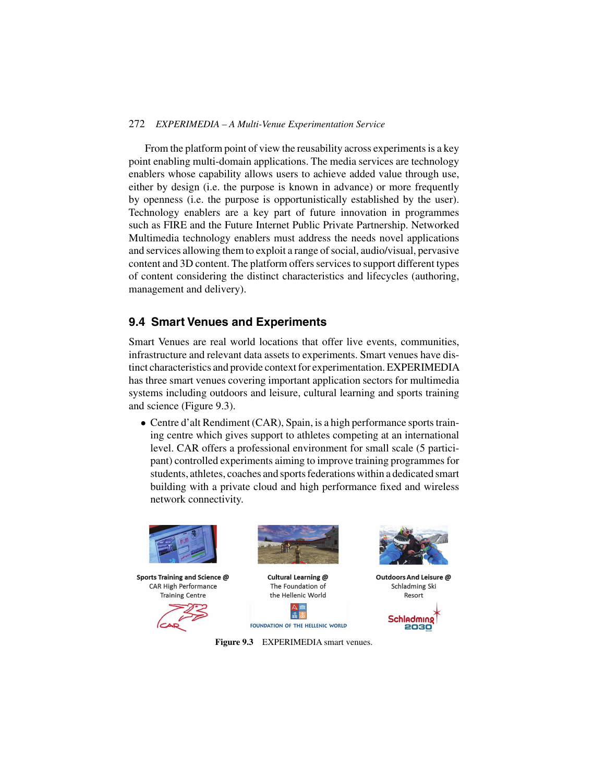From the platform point of view the reusability across experiments is a key point enabling multi-domain applications. The media services are technology enablers whose capability allows users to achieve added value through use, either by design (i.e. the purpose is known in advance) or more frequently by openness (i.e. the purpose is opportunistically established by the user). Technology enablers are a key part of future innovation in programmes such as FIRE and the Future Internet Public Private Partnership. Networked Multimedia technology enablers must address the needs novel applications and services allowing them to exploit a range of social, audio/visual, pervasive content and 3D content. The platform offers services to support different types of content considering the distinct characteristics and lifecycles (authoring, management and delivery).

## **9.4 Smart Venues and Experiments**

Smart Venues are real world locations that offer live events, communities, infrastructure and relevant data assets to experiments. Smart venues have distinct characteristics and provide context for experimentation. EXPERIMEDIA has three smart venues covering important application sectors for multimedia systems including outdoors and leisure, cultural learning and sports training and science (Figure 9.3).

• Centre d'alt Rendiment (CAR), Spain, is a high performance sports training centre which gives support to athletes competing at an international level. CAR offers a professional environment for small scale (5 participant) controlled experiments aiming to improve training programmes for students, athletes, coaches and sports federations within a dedicated smart building with a private cloud and high performance fixed and wireless network connectivity.



Sports Training and Science @ CAR High Performance **Training Centre** 





Cultural Learning @ The Foundation of the Hellenic World



Outdoors And Leisure @ Schladming Ski Resort



FOUNDATION OF THE HELLENIC WORLD Figure 9.3 EXPERIMEDIA smart venues.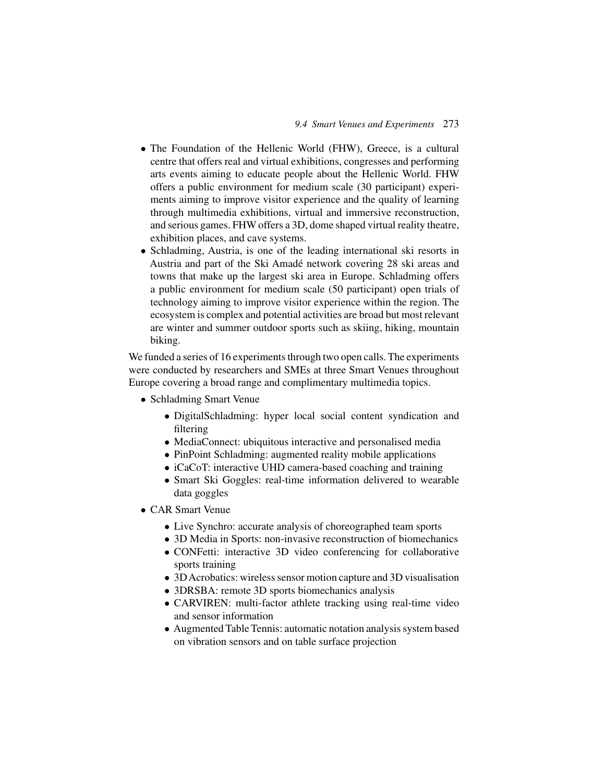- The Foundation of the Hellenic World (FHW), Greece, is a cultural centre that offers real and virtual exhibitions, congresses and performing arts events aiming to educate people about the Hellenic World. FHW offers a public environment for medium scale (30 participant) experiments aiming to improve visitor experience and the quality of learning through multimedia exhibitions, virtual and immersive reconstruction, and serious games. FHW offers a 3D, dome shaped virtual reality theatre, exhibition places, and cave systems.
- Schladming, Austria, is one of the leading international ski resorts in Austria and part of the Ski Amadé network covering 28 ski areas and towns that make up the largest ski area in Europe. Schladming offers a public environment for medium scale (50 participant) open trials of technology aiming to improve visitor experience within the region. The ecosystem is complex and potential activities are broad but most relevant are winter and summer outdoor sports such as skiing, hiking, mountain biking.

We funded a series of 16 experiments through two open calls. The experiments were conducted by researchers and SMEs at three Smart Venues throughout Europe covering a broad range and complimentary multimedia topics.

- Schladming Smart Venue
	- DigitalSchladming: hyper local social content syndication and filtering
	- MediaConnect: ubiquitous interactive and personalised media
	- PinPoint Schladming: augmented reality mobile applications
	- iCaCoT: interactive UHD camera-based coaching and training
	- Smart Ski Goggles: real-time information delivered to wearable data goggles
- CAR Smart Venue
	- Live Synchro: accurate analysis of choreographed team sports
	- 3D Media in Sports: non-invasive reconstruction of biomechanics
	- CONFetti: interactive 3D video conferencing for collaborative sports training
	- 3D Acrobatics: wireless sensor motion capture and 3D visualisation
	- 3DRSBA: remote 3D sports biomechanics analysis
	- CARVIREN: multi-factor athlete tracking using real-time video and sensor information
	- Augmented Table Tennis: automatic notation analysis system based on vibration sensors and on table surface projection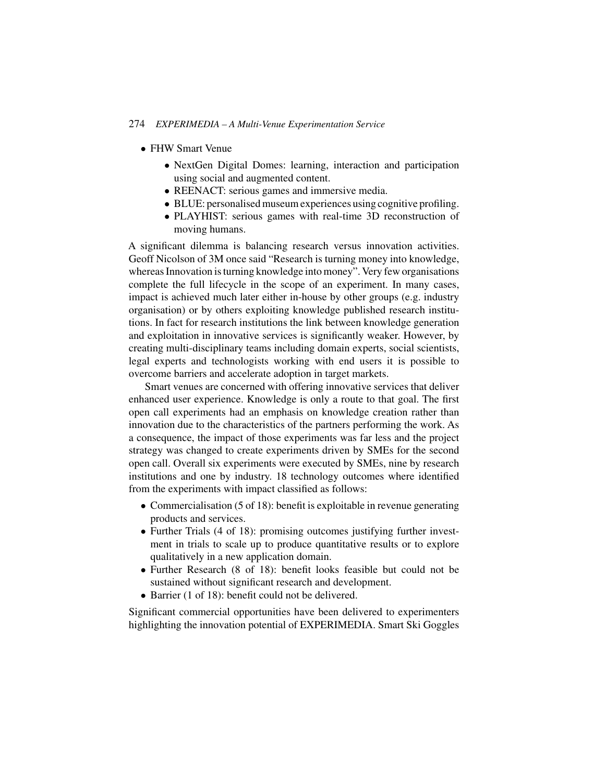- FHW Smart Venue
	- NextGen Digital Domes: learning, interaction and participation using social and augmented content.
	- REENACT: serious games and immersive media.
	- BLUE: personalised museum experiences using cognitive profiling.
	- PLAYHIST: serious games with real-time 3D reconstruction of moving humans.

A significant dilemma is balancing research versus innovation activities. Geoff Nicolson of 3M once said "Research is turning money into knowledge, whereas Innovation is turning knowledge into money". Very few organisations complete the full lifecycle in the scope of an experiment. In many cases, impact is achieved much later either in-house by other groups (e.g. industry organisation) or by others exploiting knowledge published research institutions. In fact for research institutions the link between knowledge generation and exploitation in innovative services is significantly weaker. However, by creating multi-disciplinary teams including domain experts, social scientists, legal experts and technologists working with end users it is possible to overcome barriers and accelerate adoption in target markets.

Smart venues are concerned with offering innovative services that deliver enhanced user experience. Knowledge is only a route to that goal. The first open call experiments had an emphasis on knowledge creation rather than innovation due to the characteristics of the partners performing the work. As a consequence, the impact of those experiments was far less and the project strategy was changed to create experiments driven by SMEs for the second open call. Overall six experiments were executed by SMEs, nine by research institutions and one by industry. 18 technology outcomes where identified from the experiments with impact classified as follows:

- Commercialisation (5 of 18): benefit is exploitable in revenue generating products and services.
- Further Trials (4 of 18): promising outcomes justifying further investment in trials to scale up to produce quantitative results or to explore qualitatively in a new application domain.
- Further Research (8 of 18): benefit looks feasible but could not be sustained without significant research and development.
- Barrier (1 of 18): benefit could not be delivered.

Significant commercial opportunities have been delivered to experimenters highlighting the innovation potential of EXPERIMEDIA. Smart Ski Goggles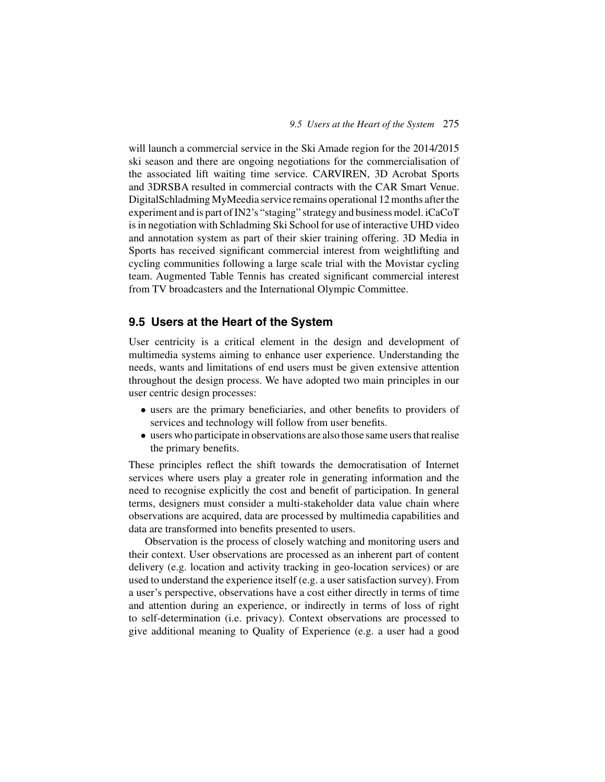will launch a commercial service in the Ski Amade region for the 2014/2015 ski season and there are ongoing negotiations for the commercialisation of the associated lift waiting time service. CARVIREN, 3D Acrobat Sports and 3DRSBA resulted in commercial contracts with the CAR Smart Venue. DigitalSchladming MyMeedia service remains operational 12 months after the experiment and is part of IN2's "staging" strategy and business model. iCaCoT is in negotiation with Schladming Ski School for use of interactive UHD video and annotation system as part of their skier training offering. 3D Media in Sports has received significant commercial interest from weightlifting and cycling communities following a large scale trial with the Movistar cycling team. Augmented Table Tennis has created significant commercial interest from TV broadcasters and the International Olympic Committee.

## **9.5 Users at the Heart of the System**

User centricity is a critical element in the design and development of multimedia systems aiming to enhance user experience. Understanding the needs, wants and limitations of end users must be given extensive attention throughout the design process. We have adopted two main principles in our user centric design processes:

- users are the primary beneficiaries, and other benefits to providers of services and technology will follow from user benefits.
- users who participate in observations are also those same users that realise the primary benefits.

These principles reflect the shift towards the democratisation of Internet services where users play a greater role in generating information and the need to recognise explicitly the cost and benefit of participation. In general terms, designers must consider a multi-stakeholder data value chain where observations are acquired, data are processed by multimedia capabilities and data are transformed into benefits presented to users.

Observation is the process of closely watching and monitoring users and their context. User observations are processed as an inherent part of content delivery (e.g. location and activity tracking in geo-location services) or are used to understand the experience itself (e.g. a user satisfaction survey). From a user's perspective, observations have a cost either directly in terms of time and attention during an experience, or indirectly in terms of loss of right to self-determination (i.e. privacy). Context observations are processed to give additional meaning to Quality of Experience (e.g. a user had a good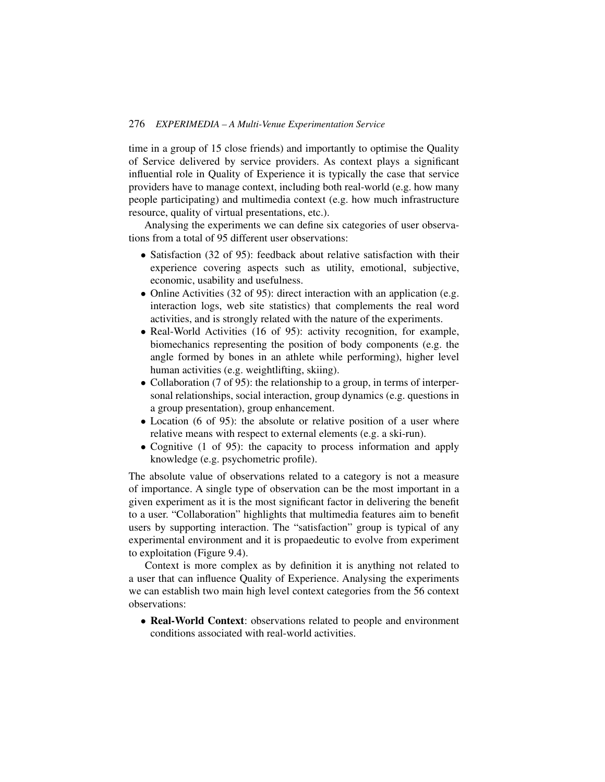time in a group of 15 close friends) and importantly to optimise the Quality of Service delivered by service providers. As context plays a significant influential role in Quality of Experience it is typically the case that service providers have to manage context, including both real-world (e.g. how many people participating) and multimedia context (e.g. how much infrastructure resource, quality of virtual presentations, etc.).

Analysing the experiments we can define six categories of user observations from a total of 95 different user observations:

- Satisfaction (32 of 95): feedback about relative satisfaction with their experience covering aspects such as utility, emotional, subjective, economic, usability and usefulness.
- Online Activities (32 of 95): direct interaction with an application (e.g. interaction logs, web site statistics) that complements the real word activities, and is strongly related with the nature of the experiments.
- Real-World Activities (16 of 95): activity recognition, for example, biomechanics representing the position of body components (e.g. the angle formed by bones in an athlete while performing), higher level human activities (e.g. weightlifting, skiing).
- Collaboration (7 of 95): the relationship to a group, in terms of interpersonal relationships, social interaction, group dynamics (e.g. questions in a group presentation), group enhancement.
- Location (6 of 95): the absolute or relative position of a user where relative means with respect to external elements (e.g. a ski-run).
- Cognitive (1 of 95): the capacity to process information and apply knowledge (e.g. psychometric profile).

The absolute value of observations related to a category is not a measure of importance. A single type of observation can be the most important in a given experiment as it is the most significant factor in delivering the benefit to a user. "Collaboration" highlights that multimedia features aim to benefit users by supporting interaction. The "satisfaction" group is typical of any experimental environment and it is propaedeutic to evolve from experiment to exploitation (Figure 9.4).

Context is more complex as by definition it is anything not related to a user that can influence Quality of Experience. Analysing the experiments we can establish two main high level context categories from the 56 context observations:

• **Real-World Context**: observations related to people and environment conditions associated with real-world activities.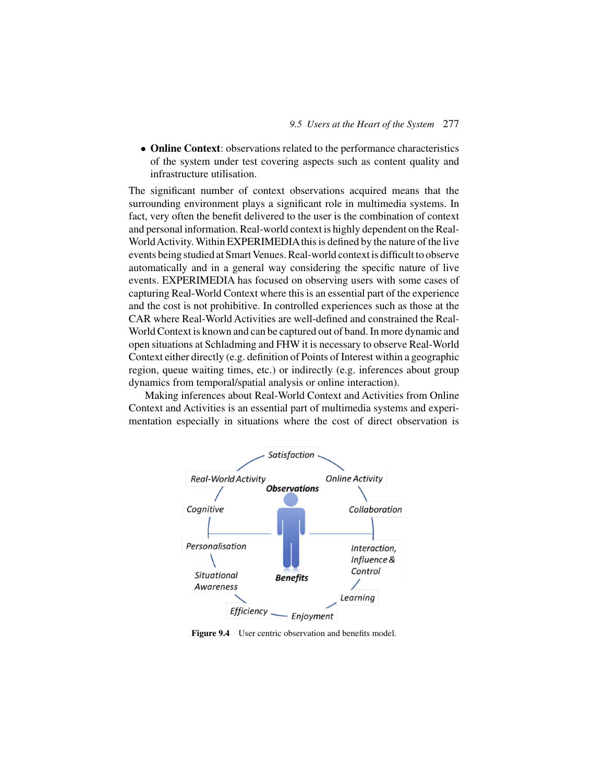• **Online Context**: observations related to the performance characteristics of the system under test covering aspects such as content quality and infrastructure utilisation.

The significant number of context observations acquired means that the surrounding environment plays a significant role in multimedia systems. In fact, very often the benefit delivered to the user is the combination of context and personal information. Real-world context is highly dependent on the Real-WorldActivity. Within EXPERIMEDIAthis is defined by the nature of the live events being studied at Smart Venues. Real-world context is difficult to observe automatically and in a general way considering the specific nature of live events. EXPERIMEDIA has focused on observing users with some cases of capturing Real-World Context where this is an essential part of the experience and the cost is not prohibitive. In controlled experiences such as those at the CAR where Real-World Activities are well-defined and constrained the Real-World Context is known and can be captured out of band. In more dynamic and open situations at Schladming and FHW it is necessary to observe Real-World Context either directly (e.g. definition of Points of Interest within a geographic region, queue waiting times, etc.) or indirectly (e.g. inferences about group dynamics from temporal/spatial analysis or online interaction).

Making inferences about Real-World Context and Activities from Online Context and Activities is an essential part of multimedia systems and experimentation especially in situations where the cost of direct observation is



Figure 9.4 User centric observation and benefits model.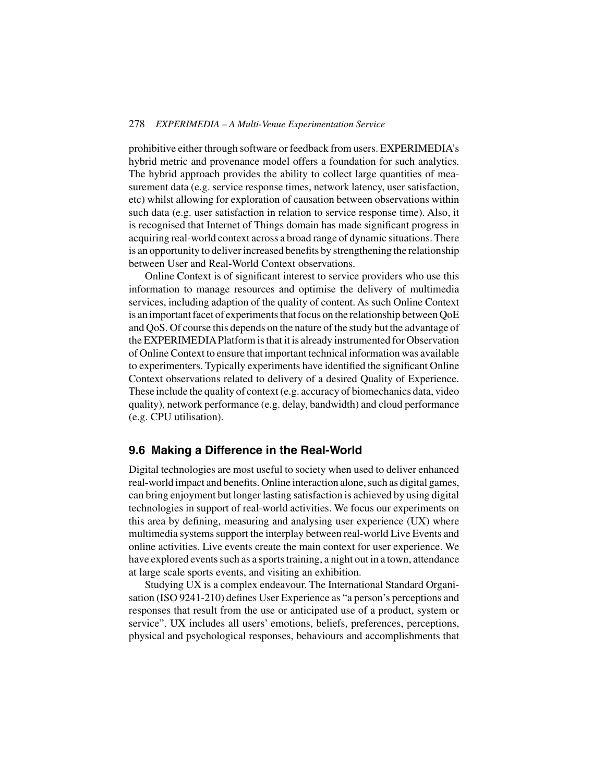prohibitive either through software or feedback from users. EXPERIMEDIA's hybrid metric and provenance model offers a foundation for such analytics. The hybrid approach provides the ability to collect large quantities of measurement data (e.g. service response times, network latency, user satisfaction, etc) whilst allowing for exploration of causation between observations within such data (e.g. user satisfaction in relation to service response time). Also, it is recognised that Internet of Things domain has made significant progress in acquiring real-world context across a broad range of dynamic situations. There is an opportunity to deliver increased benefits by strengthening the relationship between User and Real-World Context observations.

Online Context is of significant interest to service providers who use this information to manage resources and optimise the delivery of multimedia services, including adaption of the quality of content. As such Online Context is an important facet of experiments that focus on the relationship between QoE and QoS. Of course this depends on the nature of the study but the advantage of the EXPERIMEDIAPlatform is that it is already instrumented for Observation of Online Context to ensure that important technical information was available to experimenters. Typically experiments have identified the significant Online Context observations related to delivery of a desired Quality of Experience. These include the quality of context (e.g. accuracy of biomechanics data, video quality), network performance (e.g. delay, bandwidth) and cloud performance (e.g. CPU utilisation).

## **9.6 Making a Difference in the Real-World**

Digital technologies are most useful to society when used to deliver enhanced real-world impact and benefits. Online interaction alone, such as digital games, can bring enjoyment but longer lasting satisfaction is achieved by using digital technologies in support of real-world activities. We focus our experiments on this area by defining, measuring and analysing user experience (UX) where multimedia systems support the interplay between real-world Live Events and online activities. Live events create the main context for user experience. We have explored events such as a sports training, a night out in a town, attendance at large scale sports events, and visiting an exhibition.

Studying UX is a complex endeavour. The International Standard Organisation (ISO 9241-210) defines User Experience as "a person's perceptions and responses that result from the use or anticipated use of a product, system or service". UX includes all users' emotions, beliefs, preferences, perceptions, physical and psychological responses, behaviours and accomplishments that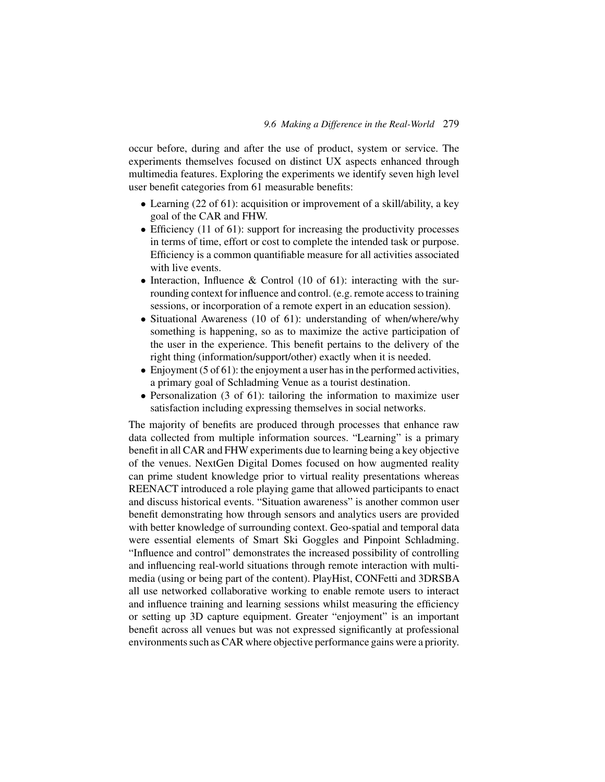occur before, during and after the use of product, system or service. The experiments themselves focused on distinct UX aspects enhanced through multimedia features. Exploring the experiments we identify seven high level user benefit categories from 61 measurable benefits:

- Learning (22 of 61): acquisition or improvement of a skill/ability, a key goal of the CAR and FHW.
- Efficiency (11 of 61): support for increasing the productivity processes in terms of time, effort or cost to complete the intended task or purpose. Efficiency is a common quantifiable measure for all activities associated with live events.
- Interaction, Influence  $\&$  Control (10 of 61): interacting with the surrounding context for influence and control. (e.g. remote access to training sessions, or incorporation of a remote expert in an education session).
- Situational Awareness (10 of 61): understanding of when/where/why something is happening, so as to maximize the active participation of the user in the experience. This benefit pertains to the delivery of the right thing (information/support/other) exactly when it is needed.
- Enjoyment (5 of 61): the enjoyment a user has in the performed activities, a primary goal of Schladming Venue as a tourist destination.
- Personalization (3 of 61): tailoring the information to maximize user satisfaction including expressing themselves in social networks.

The majority of benefits are produced through processes that enhance raw data collected from multiple information sources. "Learning" is a primary benefit in all CAR and FHW experiments due to learning being a key objective of the venues. NextGen Digital Domes focused on how augmented reality can prime student knowledge prior to virtual reality presentations whereas REENACT introduced a role playing game that allowed participants to enact and discuss historical events. "Situation awareness" is another common user benefit demonstrating how through sensors and analytics users are provided with better knowledge of surrounding context. Geo-spatial and temporal data were essential elements of Smart Ski Goggles and Pinpoint Schladming. "Influence and control" demonstrates the increased possibility of controlling and influencing real-world situations through remote interaction with multimedia (using or being part of the content). PlayHist, CONFetti and 3DRSBA all use networked collaborative working to enable remote users to interact and influence training and learning sessions whilst measuring the efficiency or setting up 3D capture equipment. Greater "enjoyment" is an important benefit across all venues but was not expressed significantly at professional environments such as CAR where objective performance gains were a priority.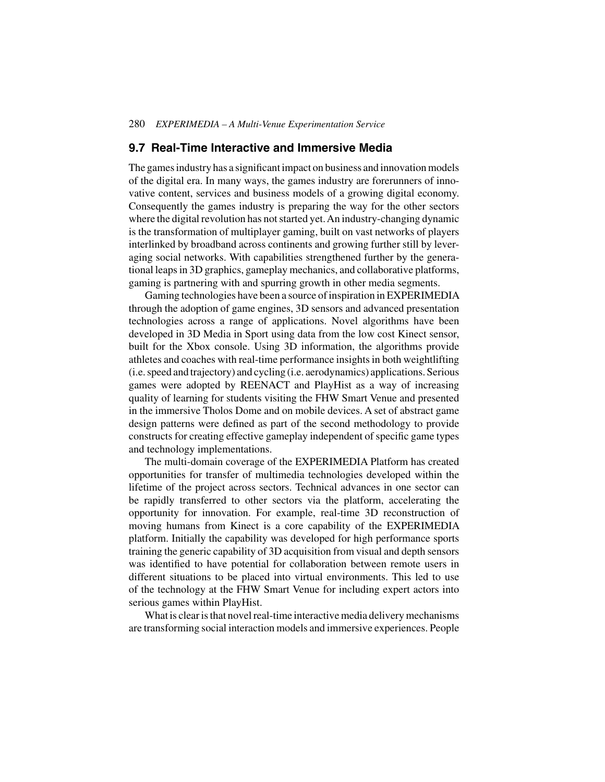#### **9.7 Real-Time Interactive and Immersive Media**

The games industry has a significant impact on business and innovation models of the digital era. In many ways, the games industry are forerunners of innovative content, services and business models of a growing digital economy. Consequently the games industry is preparing the way for the other sectors where the digital revolution has not started yet.An industry-changing dynamic is the transformation of multiplayer gaming, built on vast networks of players interlinked by broadband across continents and growing further still by leveraging social networks. With capabilities strengthened further by the generational leaps in 3D graphics, gameplay mechanics, and collaborative platforms, gaming is partnering with and spurring growth in other media segments.

Gaming technologies have been a source of inspiration in EXPERIMEDIA through the adoption of game engines, 3D sensors and advanced presentation technologies across a range of applications. Novel algorithms have been developed in 3D Media in Sport using data from the low cost Kinect sensor, built for the Xbox console. Using 3D information, the algorithms provide athletes and coaches with real-time performance insights in both weightlifting (i.e. speed and trajectory) and cycling (i.e. aerodynamics) applications. Serious games were adopted by REENACT and PlayHist as a way of increasing quality of learning for students visiting the FHW Smart Venue and presented in the immersive Tholos Dome and on mobile devices. A set of abstract game design patterns were defined as part of the second methodology to provide constructs for creating effective gameplay independent of specific game types and technology implementations.

The multi-domain coverage of the EXPERIMEDIA Platform has created opportunities for transfer of multimedia technologies developed within the lifetime of the project across sectors. Technical advances in one sector can be rapidly transferred to other sectors via the platform, accelerating the opportunity for innovation. For example, real-time 3D reconstruction of moving humans from Kinect is a core capability of the EXPERIMEDIA platform. Initially the capability was developed for high performance sports training the generic capability of 3D acquisition from visual and depth sensors was identified to have potential for collaboration between remote users in different situations to be placed into virtual environments. This led to use of the technology at the FHW Smart Venue for including expert actors into serious games within PlayHist.

What is clear is that novel real-time interactive media delivery mechanisms are transforming social interaction models and immersive experiences. People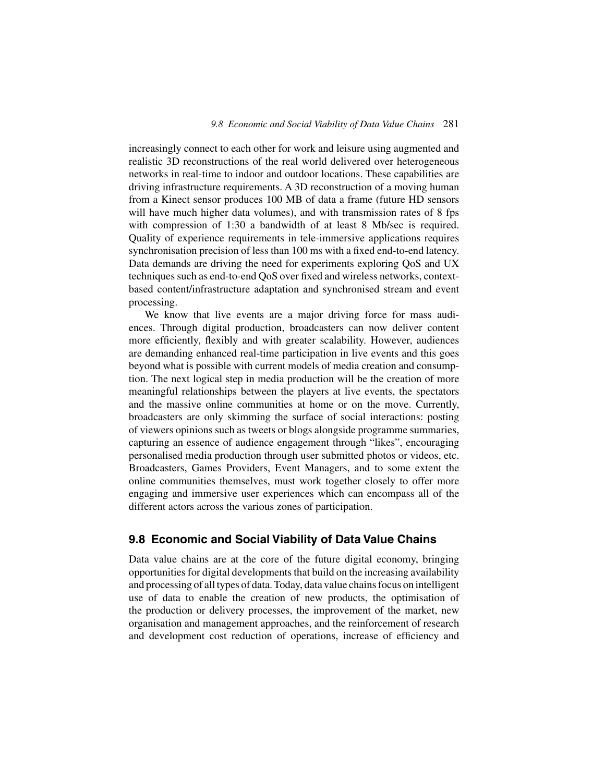increasingly connect to each other for work and leisure using augmented and realistic 3D reconstructions of the real world delivered over heterogeneous networks in real-time to indoor and outdoor locations. These capabilities are driving infrastructure requirements. A 3D reconstruction of a moving human from a Kinect sensor produces 100 MB of data a frame (future HD sensors will have much higher data volumes), and with transmission rates of 8 fps with compression of 1:30 a bandwidth of at least 8 Mb/sec is required. Quality of experience requirements in tele-immersive applications requires synchronisation precision of less than 100 ms with a fixed end-to-end latency. Data demands are driving the need for experiments exploring QoS and UX techniques such as end-to-end QoS over fixed and wireless networks, contextbased content/infrastructure adaptation and synchronised stream and event processing.

We know that live events are a major driving force for mass audiences. Through digital production, broadcasters can now deliver content more efficiently, flexibly and with greater scalability. However, audiences are demanding enhanced real-time participation in live events and this goes beyond what is possible with current models of media creation and consumption. The next logical step in media production will be the creation of more meaningful relationships between the players at live events, the spectators and the massive online communities at home or on the move. Currently, broadcasters are only skimming the surface of social interactions: posting of viewers opinions such as tweets or blogs alongside programme summaries, capturing an essence of audience engagement through "likes", encouraging personalised media production through user submitted photos or videos, etc. Broadcasters, Games Providers, Event Managers, and to some extent the online communities themselves, must work together closely to offer more engaging and immersive user experiences which can encompass all of the different actors across the various zones of participation.

## **9.8 Economic and Social Viability of Data Value Chains**

Data value chains are at the core of the future digital economy, bringing opportunities for digital developments that build on the increasing availability and processing of all types of data. Today, data value chains focus on intelligent use of data to enable the creation of new products, the optimisation of the production or delivery processes, the improvement of the market, new organisation and management approaches, and the reinforcement of research and development cost reduction of operations, increase of efficiency and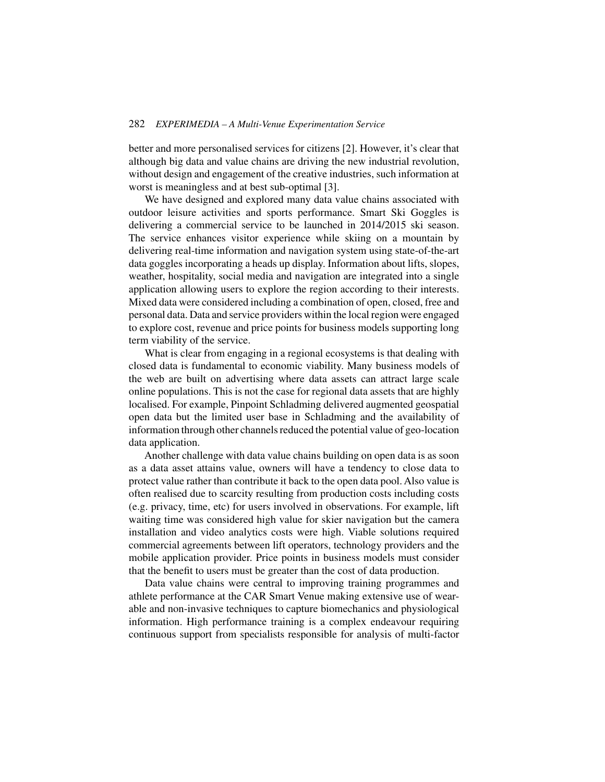better and more personalised services for citizens [2]. However, it's clear that although big data and value chains are driving the new industrial revolution, without design and engagement of the creative industries, such information at worst is meaningless and at best sub-optimal [3].

We have designed and explored many data value chains associated with outdoor leisure activities and sports performance. Smart Ski Goggles is delivering a commercial service to be launched in 2014/2015 ski season. The service enhances visitor experience while skiing on a mountain by delivering real-time information and navigation system using state-of-the-art data goggles incorporating a heads up display. Information about lifts, slopes, weather, hospitality, social media and navigation are integrated into a single application allowing users to explore the region according to their interests. Mixed data were considered including a combination of open, closed, free and personal data. Data and service providers within the local region were engaged to explore cost, revenue and price points for business models supporting long term viability of the service.

What is clear from engaging in a regional ecosystems is that dealing with closed data is fundamental to economic viability. Many business models of the web are built on advertising where data assets can attract large scale online populations. This is not the case for regional data assets that are highly localised. For example, Pinpoint Schladming delivered augmented geospatial open data but the limited user base in Schladming and the availability of information through other channels reduced the potential value of geo-location data application.

Another challenge with data value chains building on open data is as soon as a data asset attains value, owners will have a tendency to close data to protect value rather than contribute it back to the open data pool. Also value is often realised due to scarcity resulting from production costs including costs (e.g. privacy, time, etc) for users involved in observations. For example, lift waiting time was considered high value for skier navigation but the camera installation and video analytics costs were high. Viable solutions required commercial agreements between lift operators, technology providers and the mobile application provider. Price points in business models must consider that the benefit to users must be greater than the cost of data production.

Data value chains were central to improving training programmes and athlete performance at the CAR Smart Venue making extensive use of wearable and non-invasive techniques to capture biomechanics and physiological information. High performance training is a complex endeavour requiring continuous support from specialists responsible for analysis of multi-factor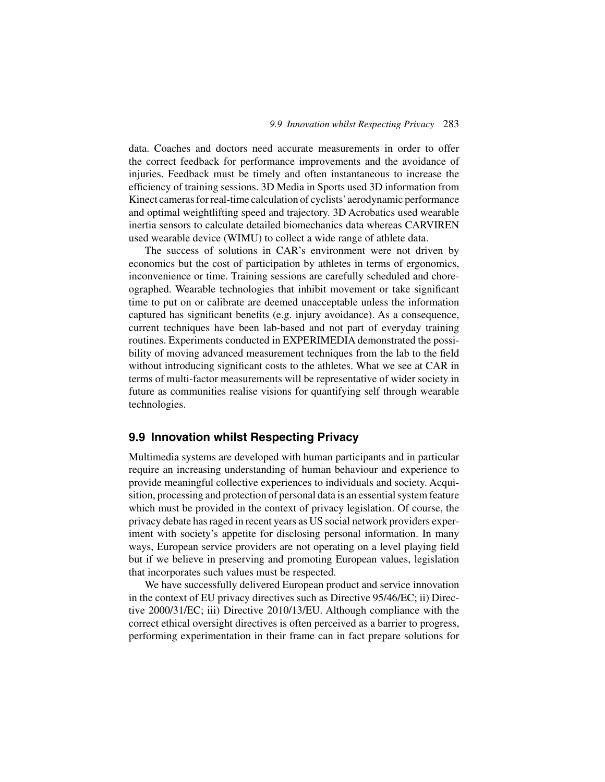data. Coaches and doctors need accurate measurements in order to offer the correct feedback for performance improvements and the avoidance of injuries. Feedback must be timely and often instantaneous to increase the efficiency of training sessions. 3D Media in Sports used 3D information from Kinect cameras for real-time calculation of cyclists'aerodynamic performance and optimal weightlifting speed and trajectory. 3D Acrobatics used wearable inertia sensors to calculate detailed biomechanics data whereas CARVIREN used wearable device (WIMU) to collect a wide range of athlete data.

The success of solutions in CAR's environment were not driven by economics but the cost of participation by athletes in terms of ergonomics, inconvenience or time. Training sessions are carefully scheduled and choreographed. Wearable technologies that inhibit movement or take significant time to put on or calibrate are deemed unacceptable unless the information captured has significant benefits (e.g. injury avoidance). As a consequence, current techniques have been lab-based and not part of everyday training routines. Experiments conducted in EXPERIMEDIA demonstrated the possibility of moving advanced measurement techniques from the lab to the field without introducing significant costs to the athletes. What we see at CAR in terms of multi-factor measurements will be representative of wider society in future as communities realise visions for quantifying self through wearable technologies.

### **9.9 Innovation whilst Respecting Privacy**

Multimedia systems are developed with human participants and in particular require an increasing understanding of human behaviour and experience to provide meaningful collective experiences to individuals and society. Acquisition, processing and protection of personal data is an essential system feature which must be provided in the context of privacy legislation. Of course, the privacy debate has raged in recent years as US social network providers experiment with society's appetite for disclosing personal information. In many ways, European service providers are not operating on a level playing field but if we believe in preserving and promoting European values, legislation that incorporates such values must be respected.

We have successfully delivered European product and service innovation in the context of EU privacy directives such as Directive 95/46/EC; ii) Directive 2000/31/EC; iii) Directive 2010/13/EU. Although compliance with the correct ethical oversight directives is often perceived as a barrier to progress, performing experimentation in their frame can in fact prepare solutions for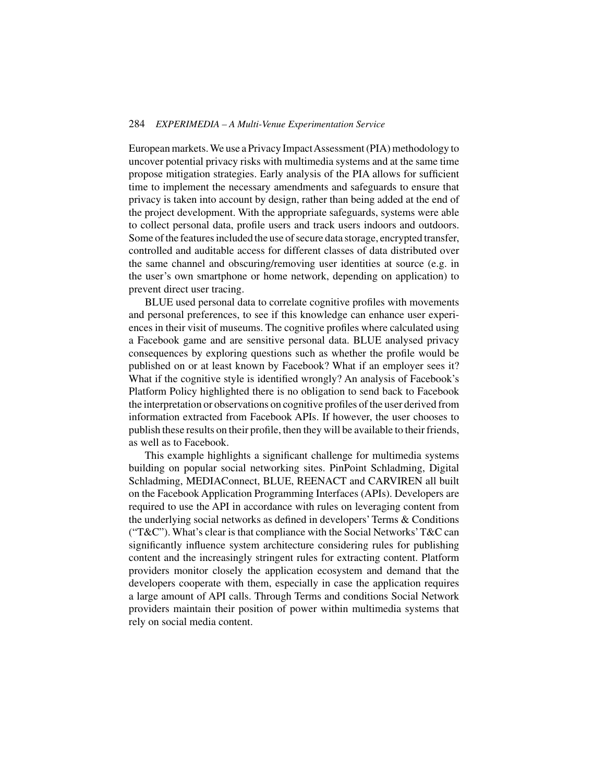European markets. We use a Privacy ImpactAssessment (PIA) methodology to uncover potential privacy risks with multimedia systems and at the same time propose mitigation strategies. Early analysis of the PIA allows for sufficient time to implement the necessary amendments and safeguards to ensure that privacy is taken into account by design, rather than being added at the end of the project development. With the appropriate safeguards, systems were able to collect personal data, profile users and track users indoors and outdoors. Some of the features included the use of secure data storage, encrypted transfer, controlled and auditable access for different classes of data distributed over the same channel and obscuring/removing user identities at source (e.g. in the user's own smartphone or home network, depending on application) to prevent direct user tracing.

BLUE used personal data to correlate cognitive profiles with movements and personal preferences, to see if this knowledge can enhance user experiences in their visit of museums. The cognitive profiles where calculated using a Facebook game and are sensitive personal data. BLUE analysed privacy consequences by exploring questions such as whether the profile would be published on or at least known by Facebook? What if an employer sees it? What if the cognitive style is identified wrongly? An analysis of Facebook's Platform Policy highlighted there is no obligation to send back to Facebook the interpretation or observations on cognitive profiles of the user derived from information extracted from Facebook APIs. If however, the user chooses to publish these results on their profile, then they will be available to their friends, as well as to Facebook.

This example highlights a significant challenge for multimedia systems building on popular social networking sites. PinPoint Schladming, Digital Schladming, MEDIAConnect, BLUE, REENACT and CARVIREN all built on the Facebook Application Programming Interfaces (APIs). Developers are required to use the API in accordance with rules on leveraging content from the underlying social networks as defined in developers' Terms & Conditions ("T&C"). What's clear is that compliance with the Social Networks'T&C can significantly influence system architecture considering rules for publishing content and the increasingly stringent rules for extracting content. Platform providers monitor closely the application ecosystem and demand that the developers cooperate with them, especially in case the application requires a large amount of API calls. Through Terms and conditions Social Network providers maintain their position of power within multimedia systems that rely on social media content.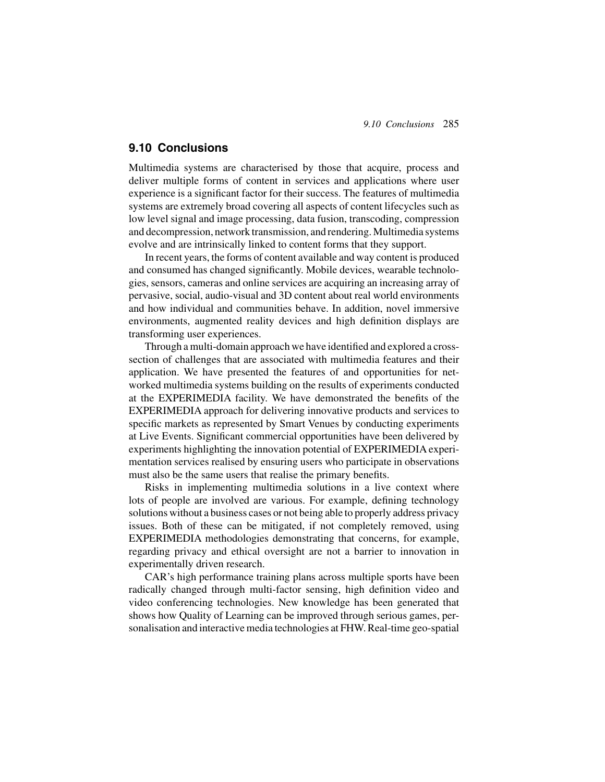## **9.10 Conclusions**

Multimedia systems are characterised by those that acquire, process and deliver multiple forms of content in services and applications where user experience is a significant factor for their success. The features of multimedia systems are extremely broad covering all aspects of content lifecycles such as low level signal and image processing, data fusion, transcoding, compression and decompression, network transmission, and rendering. Multimedia systems evolve and are intrinsically linked to content forms that they support.

In recent years, the forms of content available and way content is produced and consumed has changed significantly. Mobile devices, wearable technologies, sensors, cameras and online services are acquiring an increasing array of pervasive, social, audio-visual and 3D content about real world environments and how individual and communities behave. In addition, novel immersive environments, augmented reality devices and high definition displays are transforming user experiences.

Through a multi-domain approach we have identified and explored a crosssection of challenges that are associated with multimedia features and their application. We have presented the features of and opportunities for networked multimedia systems building on the results of experiments conducted at the EXPERIMEDIA facility. We have demonstrated the benefits of the EXPERIMEDIA approach for delivering innovative products and services to specific markets as represented by Smart Venues by conducting experiments at Live Events. Significant commercial opportunities have been delivered by experiments highlighting the innovation potential of EXPERIMEDIA experimentation services realised by ensuring users who participate in observations must also be the same users that realise the primary benefits.

Risks in implementing multimedia solutions in a live context where lots of people are involved are various. For example, defining technology solutions without a business cases or not being able to properly address privacy issues. Both of these can be mitigated, if not completely removed, using EXPERIMEDIA methodologies demonstrating that concerns, for example, regarding privacy and ethical oversight are not a barrier to innovation in experimentally driven research.

CAR's high performance training plans across multiple sports have been radically changed through multi-factor sensing, high definition video and video conferencing technologies. New knowledge has been generated that shows how Quality of Learning can be improved through serious games, personalisation and interactive media technologies at FHW. Real-time geo-spatial